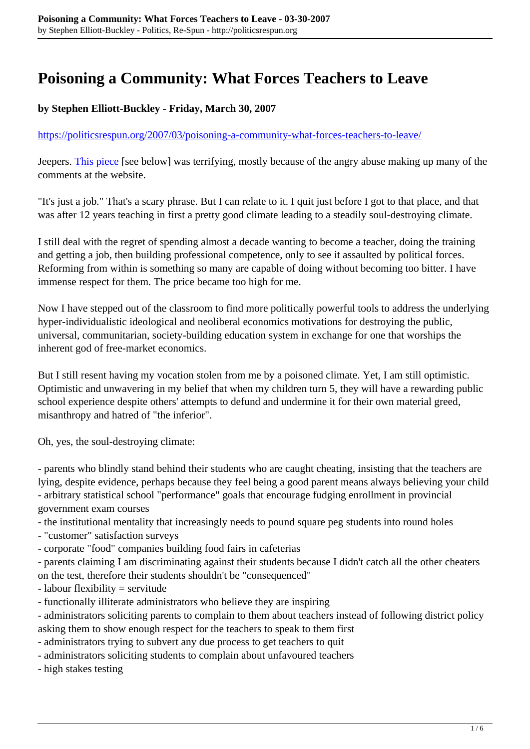# **Poisoning a Community: What Forces Teachers to Leave**

## **by Stephen Elliott-Buckley - Friday, March 30, 2007**

#### <https://politicsrespun.org/2007/03/poisoning-a-community-what-forces-teachers-to-leave/>

Jeepers. [This piece](http://thetyee.ca/Views/Teacherdiaries/2007/03/28/GoodbyeClass/) [see below] was terrifying, mostly because of the angry abuse making up many of the comments at the website.

"It's just a job." That's a scary phrase. But I can relate to it. I quit just before I got to that place, and that was after 12 years teaching in first a pretty good climate leading to a steadily soul-destroying climate.

I still deal with the regret of spending almost a decade wanting to become a teacher, doing the training and getting a job, then building professional competence, only to see it assaulted by political forces. Reforming from within is something so many are capable of doing without becoming too bitter. I have immense respect for them. The price became too high for me.

Now I have stepped out of the classroom to find more politically powerful tools to address the underlying hyper-individualistic ideological and neoliberal economics motivations for destroying the public, universal, communitarian, society-building education system in exchange for one that worships the inherent god of free-market economics.

But I still resent having my vocation stolen from me by a poisoned climate. Yet, I am still optimistic. Optimistic and unwavering in my belief that when my children turn 5, they will have a rewarding public school experience despite others' attempts to defund and undermine it for their own material greed, misanthropy and hatred of "the inferior".

Oh, yes, the soul-destroying climate:

- parents who blindly stand behind their students who are caught cheating, insisting that the teachers are lying, despite evidence, perhaps because they feel being a good parent means always believing your child - arbitrary statistical school "performance" goals that encourage fudging enrollment in provincial government exam courses

- the institutional mentality that increasingly needs to pound square peg students into round holes

- "customer" satisfaction surveys

- corporate "food" companies building food fairs in cafeterias

- parents claiming I am discriminating against their students because I didn't catch all the other cheaters on the test, therefore their students shouldn't be "consequenced"

- labour flexibility = servitude

- functionally illiterate administrators who believe they are inspiring

- administrators soliciting parents to complain to them about teachers instead of following district policy asking them to show enough respect for the teachers to speak to them first

- administrators trying to subvert any due process to get teachers to quit
- administrators soliciting students to complain about unfavoured teachers

- high stakes testing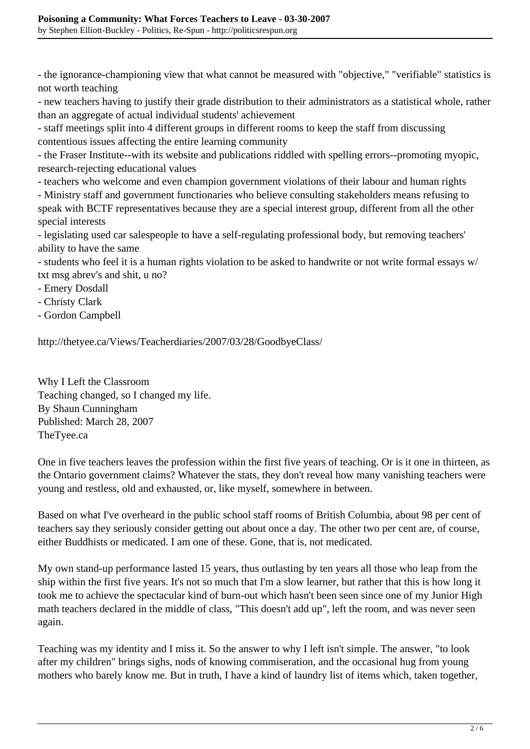- the ignorance-championing view that what cannot be measured with "objective," "verifiable" statistics is not worth teaching

- new teachers having to justify their grade distribution to their administrators as a statistical whole, rather than an aggregate of actual individual students' achievement

- staff meetings split into 4 different groups in different rooms to keep the staff from discussing contentious issues affecting the entire learning community

- the Fraser Institute--with its website and publications riddled with spelling errors--promoting myopic, research-rejecting educational values

- teachers who welcome and even champion government violations of their labour and human rights

- Ministry staff and government functionaries who believe consulting stakeholders means refusing to speak with BCTF representatives because they are a special interest group, different from all the other special interests

- legislating used car salespeople to have a self-regulating professional body, but removing teachers' ability to have the same

- students who feel it is a human rights violation to be asked to handwrite or not write formal essays w/ txt msg abrev's and shit, u no?

- Emery Dosdall
- Christy Clark
- Gordon Campbell

http://thetyee.ca/Views/Teacherdiaries/2007/03/28/GoodbyeClass/

Why I Left the Classroom Teaching changed, so I changed my life. By Shaun Cunningham Published: March 28, 2007 TheTyee.ca

One in five teachers leaves the profession within the first five years of teaching. Or is it one in thirteen, as the Ontario government claims? Whatever the stats, they don't reveal how many vanishing teachers were young and restless, old and exhausted, or, like myself, somewhere in between.

Based on what I've overheard in the public school staff rooms of British Columbia, about 98 per cent of teachers say they seriously consider getting out about once a day. The other two per cent are, of course, either Buddhists or medicated. I am one of these. Gone, that is, not medicated.

My own stand-up performance lasted 15 years, thus outlasting by ten years all those who leap from the ship within the first five years. It's not so much that I'm a slow learner, but rather that this is how long it took me to achieve the spectacular kind of burn-out which hasn't been seen since one of my Junior High math teachers declared in the middle of class, "This doesn't add up", left the room, and was never seen again.

Teaching was my identity and I miss it. So the answer to why I left isn't simple. The answer, "to look after my children" brings sighs, nods of knowing commiseration, and the occasional hug from young mothers who barely know me. But in truth, I have a kind of laundry list of items which, taken together,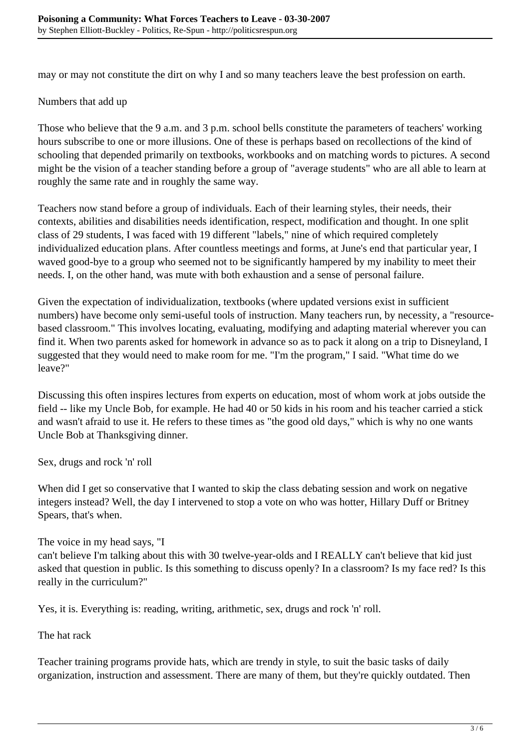may or may not constitute the dirt on why I and so many teachers leave the best profession on earth.

#### Numbers that add up

Those who believe that the 9 a.m. and 3 p.m. school bells constitute the parameters of teachers' working hours subscribe to one or more illusions. One of these is perhaps based on recollections of the kind of schooling that depended primarily on textbooks, workbooks and on matching words to pictures. A second might be the vision of a teacher standing before a group of "average students" who are all able to learn at roughly the same rate and in roughly the same way.

Teachers now stand before a group of individuals. Each of their learning styles, their needs, their contexts, abilities and disabilities needs identification, respect, modification and thought. In one split class of 29 students, I was faced with 19 different "labels," nine of which required completely individualized education plans. After countless meetings and forms, at June's end that particular year, I waved good-bye to a group who seemed not to be significantly hampered by my inability to meet their needs. I, on the other hand, was mute with both exhaustion and a sense of personal failure.

Given the expectation of individualization, textbooks (where updated versions exist in sufficient numbers) have become only semi-useful tools of instruction. Many teachers run, by necessity, a "resourcebased classroom." This involves locating, evaluating, modifying and adapting material wherever you can find it. When two parents asked for homework in advance so as to pack it along on a trip to Disneyland, I suggested that they would need to make room for me. "I'm the program," I said. "What time do we leave?"

Discussing this often inspires lectures from experts on education, most of whom work at jobs outside the field -- like my Uncle Bob, for example. He had 40 or 50 kids in his room and his teacher carried a stick and wasn't afraid to use it. He refers to these times as "the good old days," which is why no one wants Uncle Bob at Thanksgiving dinner.

Sex, drugs and rock 'n' roll

When did I get so conservative that I wanted to skip the class debating session and work on negative integers instead? Well, the day I intervened to stop a vote on who was hotter, Hillary Duff or Britney Spears, that's when.

The voice in my head says, "I

can't believe I'm talking about this with 30 twelve-year-olds and I REALLY can't believe that kid just asked that question in public. Is this something to discuss openly? In a classroom? Is my face red? Is this really in the curriculum?"

Yes, it is. Everything is: reading, writing, arithmetic, sex, drugs and rock 'n' roll.

The hat rack

Teacher training programs provide hats, which are trendy in style, to suit the basic tasks of daily organization, instruction and assessment. There are many of them, but they're quickly outdated. Then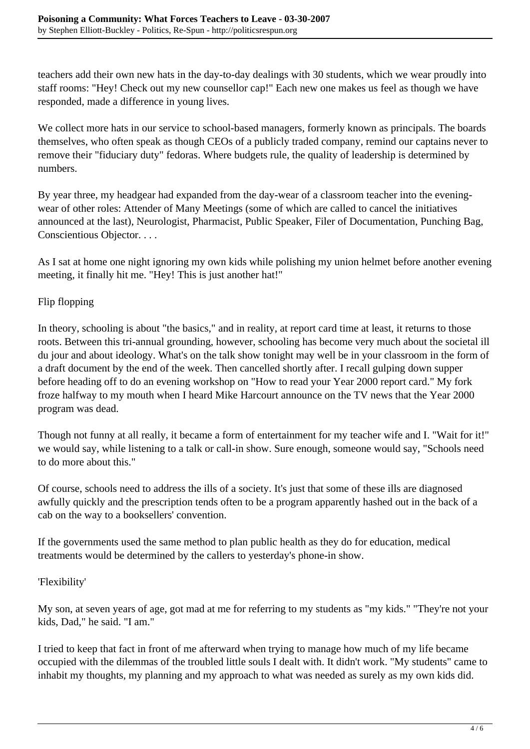teachers add their own new hats in the day-to-day dealings with 30 students, which we wear proudly into staff rooms: "Hey! Check out my new counsellor cap!" Each new one makes us feel as though we have responded, made a difference in young lives.

We collect more hats in our service to school-based managers, formerly known as principals. The boards themselves, who often speak as though CEOs of a publicly traded company, remind our captains never to remove their "fiduciary duty" fedoras. Where budgets rule, the quality of leadership is determined by numbers.

By year three, my headgear had expanded from the day-wear of a classroom teacher into the eveningwear of other roles: Attender of Many Meetings (some of which are called to cancel the initiatives announced at the last), Neurologist, Pharmacist, Public Speaker, Filer of Documentation, Punching Bag, Conscientious Objector. . . .

As I sat at home one night ignoring my own kids while polishing my union helmet before another evening meeting, it finally hit me. "Hey! This is just another hat!"

# Flip flopping

In theory, schooling is about "the basics," and in reality, at report card time at least, it returns to those roots. Between this tri-annual grounding, however, schooling has become very much about the societal ill du jour and about ideology. What's on the talk show tonight may well be in your classroom in the form of a draft document by the end of the week. Then cancelled shortly after. I recall gulping down supper before heading off to do an evening workshop on "How to read your Year 2000 report card." My fork froze halfway to my mouth when I heard Mike Harcourt announce on the TV news that the Year 2000 program was dead.

Though not funny at all really, it became a form of entertainment for my teacher wife and I. "Wait for it!" we would say, while listening to a talk or call-in show. Sure enough, someone would say, "Schools need to do more about this."

Of course, schools need to address the ills of a society. It's just that some of these ills are diagnosed awfully quickly and the prescription tends often to be a program apparently hashed out in the back of a cab on the way to a booksellers' convention.

If the governments used the same method to plan public health as they do for education, medical treatments would be determined by the callers to yesterday's phone-in show.

### 'Flexibility'

My son, at seven years of age, got mad at me for referring to my students as "my kids." "They're not your kids, Dad," he said. "I am."

I tried to keep that fact in front of me afterward when trying to manage how much of my life became occupied with the dilemmas of the troubled little souls I dealt with. It didn't work. "My students" came to inhabit my thoughts, my planning and my approach to what was needed as surely as my own kids did.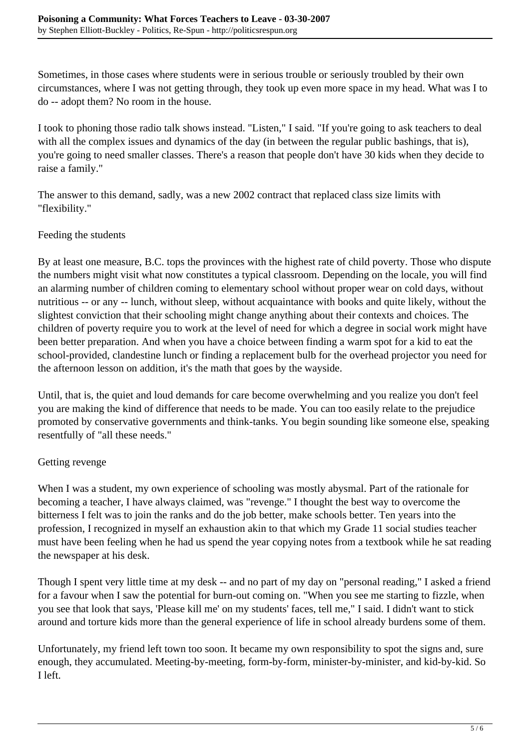Sometimes, in those cases where students were in serious trouble or seriously troubled by their own circumstances, where I was not getting through, they took up even more space in my head. What was I to do -- adopt them? No room in the house.

I took to phoning those radio talk shows instead. "Listen," I said. "If you're going to ask teachers to deal with all the complex issues and dynamics of the day (in between the regular public bashings, that is), you're going to need smaller classes. There's a reason that people don't have 30 kids when they decide to raise a family."

The answer to this demand, sadly, was a new 2002 contract that replaced class size limits with "flexibility."

## Feeding the students

By at least one measure, B.C. tops the provinces with the highest rate of child poverty. Those who dispute the numbers might visit what now constitutes a typical classroom. Depending on the locale, you will find an alarming number of children coming to elementary school without proper wear on cold days, without nutritious -- or any -- lunch, without sleep, without acquaintance with books and quite likely, without the slightest conviction that their schooling might change anything about their contexts and choices. The children of poverty require you to work at the level of need for which a degree in social work might have been better preparation. And when you have a choice between finding a warm spot for a kid to eat the school-provided, clandestine lunch or finding a replacement bulb for the overhead projector you need for the afternoon lesson on addition, it's the math that goes by the wayside.

Until, that is, the quiet and loud demands for care become overwhelming and you realize you don't feel you are making the kind of difference that needs to be made. You can too easily relate to the prejudice promoted by conservative governments and think-tanks. You begin sounding like someone else, speaking resentfully of "all these needs."

# Getting revenge

When I was a student, my own experience of schooling was mostly abysmal. Part of the rationale for becoming a teacher, I have always claimed, was "revenge." I thought the best way to overcome the bitterness I felt was to join the ranks and do the job better, make schools better. Ten years into the profession, I recognized in myself an exhaustion akin to that which my Grade 11 social studies teacher must have been feeling when he had us spend the year copying notes from a textbook while he sat reading the newspaper at his desk.

Though I spent very little time at my desk -- and no part of my day on "personal reading," I asked a friend for a favour when I saw the potential for burn-out coming on. "When you see me starting to fizzle, when you see that look that says, 'Please kill me' on my students' faces, tell me," I said. I didn't want to stick around and torture kids more than the general experience of life in school already burdens some of them.

Unfortunately, my friend left town too soon. It became my own responsibility to spot the signs and, sure enough, they accumulated. Meeting-by-meeting, form-by-form, minister-by-minister, and kid-by-kid. So I left.